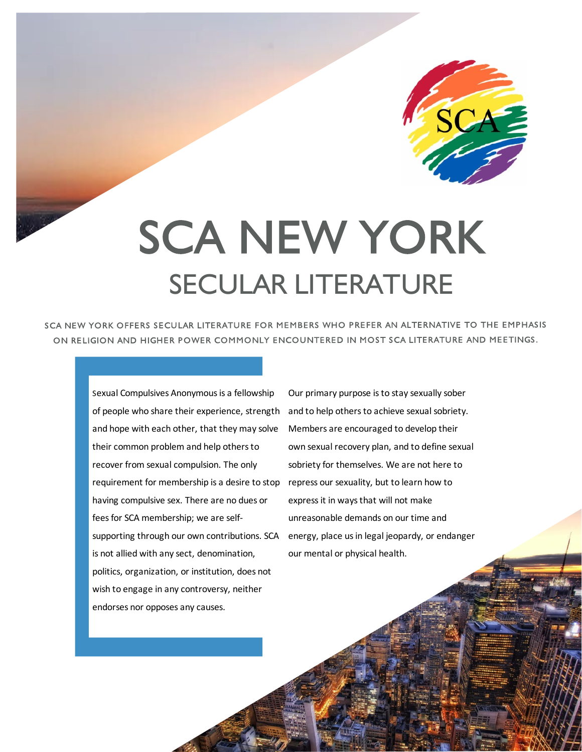

# **SCA NEW YORK** SECULAR LITERATURE

SCA NEW YORK OFFERS SECULAR LITERATURE FOR MEMBERS WHO PREFER AN ALTERNATIVE TO THE EMPHASIS ON RELIGION AND HIGHER POWER COMMONLY ENCOUNTERED IN MOST SCA LITERATURE AND MEETINGS.

Sexual Compulsives Anonymous is a fellowship of people who share their experience, strength and hope with each other, that they may solve their common problem and help others to recover from sexual compulsion. The only requirement for membership is a desire to stop having compulsive sex. There are no dues or fees for SCA membership; we are selfsupporting through our own contributions. SCA is not allied with any sect, denomination, politics, organization, or institution, does not wish to engage in any controversy, neither endorses nor opposes any causes.

Our primary purpose is to stay sexually sober and to help others to achieve sexual sobriety. Members are encouraged to develop their own sexual recovery plan, and to define sexual sobriety for themselves. We are not here to repress our sexuality, but to learn how to express it in ways that will not make unreasonable demands on our time and energy, place us in legal jeopardy, or endanger our mental or physical health.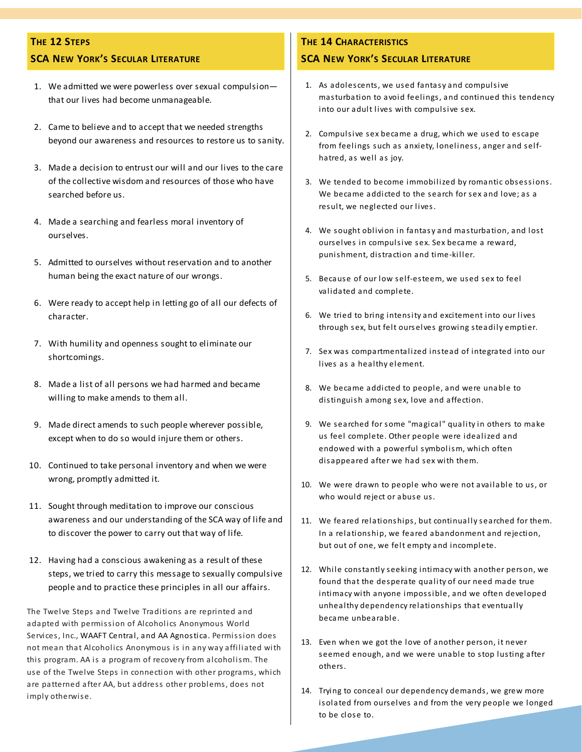#### **THE 12 STEPS SCA NEW YORK'S SECULAR LITERATURE**

- 1. We admitted we were powerless over sexual compulsion that our lives had become unmanageable.
- 2. Came to believe and to accept that we needed strengths beyond our awareness and resources to restore us to sanity.
- 3. Made a decision to entrust our will and our lives to the care of the collective wisdom and resources of those who have searched before us.
- 4. Made a searching and fearless moral inventory of ourselves.
- 5. Admitted to ourselves without reservation and to another human being the exact nature of our wrongs.
- 6. Were ready to accept help in letting go of all our defects of character.
- 7. With humility and openness sought to eliminate our shortcomings.
- 8. Made a list of all persons we had harmed and became willing to make amends to them all.
- 9. Made direct amends to such people wherever possible, except when to do so would injure them or others.
- 10. Continued to take personal inventory and when we were wrong, promptly admitted it.
- 11. Sought through meditation to improve our conscious awareness and our understanding of the SCA way of life and to discover the power to carry out that way of life.
- 12. Having had a conscious awakening as a result of these steps, we tried to carry this message to sexually compulsive people and to practice these principles in all our affairs.

The Twelve Steps and Twelve Traditions are reprinted and adapted with permission of Alcoholics Anonymous World Services, Inc., WAAFT Central, and AA Agnostica. Permission does not mean that Alcoholics Anonymous is in any way affiliated with this program. AA is a program of recovery from alcoholism. The use of the Twelve Steps in connection with other programs, which are patterned after AA, but address other problems, does not imply otherwise.

#### **THE 14 CHARACTERISTICS SCA NEW YORK'S SECULAR LITERATURE**

- 1. As adolescents, we used fantasy and compulsive masturbation to avoid feelings, and continued this tendency into our adult lives with compulsive sex.
- 2. Compulsive sex became a drug, which we used to escape from feelings such as anxiety, loneliness, anger and selfhatred, as well as joy.
- 3. We tended to become immobilized by romantic obsessions. We became addicted to the search for sex and love; as a result, we neglected our lives.
- 4. We sought oblivion in fantasy and masturbation, and lost ourselves in compulsive sex. Sex became a reward, punishment, distraction and time-killer.
- 5. Because of our low self-esteem, we used sex to feel validated and complete.
- 6. We tried to bring intensity and excitement into our lives through sex, but felt ourselves growing steadily emptier.
- 7. Sex was compartmentalized instead of integrated into our lives as a healthy element.
- 8. We became addicted to people, and were unable to distinguish among sex, love and affection.
- 9. We searched for some "magical" quality in others to make us feel complete. Other people were idealized and endowed with a powerful symbolism, which often disappeared after we had sex with them.
- 10. We were drawn to people who were not available to us, or who would reject or abuse us.
- 11. We feared relationships, but continually searched for them. In a relationship, we feared abandonment and rejection, but out of one, we felt empty and incomplete.
- 12. While constantly seeking intimacy with another person, we found that the desperate quality of our need made true intimacy with anyone impossible, and we often developed unhealthy dependency relationships that eventually became unbearable.
- 13. Even when we got the love of another person, it never seemed enough, and we were unable to stop lusting after others.
- 14. Trying to conceal our dependency demands, we grew more isolated from ourselves and from the very people we longed to be close to.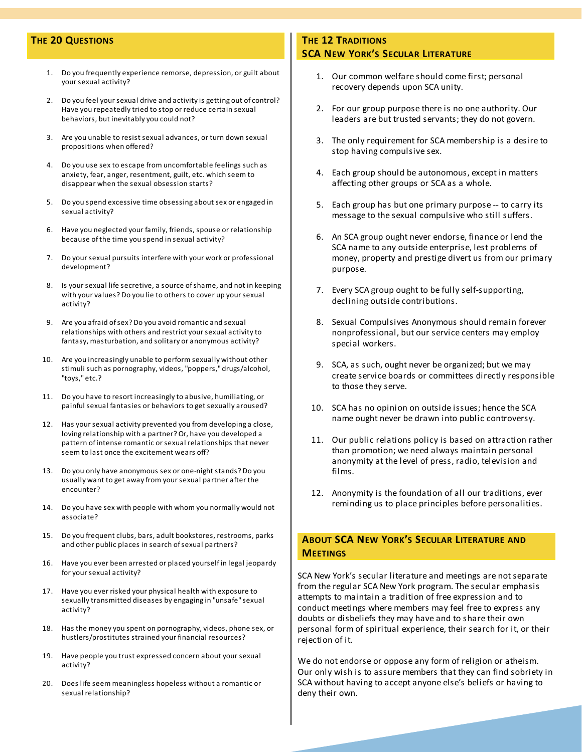#### **THE 20 QUESTIONS**

- 1. Do you frequently experience remorse, depression, or guilt about your sexual activity?
- 2. Do you feel your sexual drive and activity is getting out of control? Have you repeatedly tried to stop or reduce certain sexual behaviors, but inevitably you could not?
- 3. Are you unable to resist sexual advances, or turn down sexual propositions when offered?
- 4. Do you use sex to escape from uncomfortable feelings such as anxiety, fear, anger, resentment, guilt, etc. which seem to disappear when the sexual obsession starts?
- 5. Do you spend excessive time obsessing about sex or engaged in sexual activity?
- 6. Have you neglected your family, friends, spouse or relationship because of the time you spend in sexual activity?
- 7. Do your sexual pursuits interfere with your work or professional development?
- 8. Is your sexual life secretive, a source of shame, and not in keeping with your values? Do you lie to others to cover up your sexual activity?
- 9. Are you afraid of sex? Do you avoid romantic and sexual relationships with others and restrict your sexual activity to fantasy, masturbation, and solitary or anonymous activity?
- 10. Are you increasingly unable to perform sexually without other stimuli such as pornography, videos, "poppers," drugs/alcohol, "toys," etc.?
- 11. Do you have to resort increasingly to abusive, humiliating, or painful sexual fantasies or behaviors to get sexually aroused?
- 12. Has your sexual activity prevented you from developing a close, loving relationship with a partner? Or, have you developed a pattern of intense romantic or sexual relationships that never seem to last once the excitement wears off?
- 13. Do you only have anonymous sex or one-night stands? Do you usually want to get away from your sexual partner after the encounter?
- 14. Do you have sex with people with whom you normally would not associate?
- 15. Do you frequent clubs, bars, adult bookstores, restrooms, parks and other public places in search of sexual partners?
- 16. Have you ever been arrested or placed yourself in legal jeopardy for your sexual activity?
- 17. Have you ever risked your physical health with exposure to sexually transmitted diseases by engaging in "unsafe" sexual activity?
- 18. Has the money you spent on pornography, videos, phone sex, or hustlers/prostitutes strained your financial resources?
- 19. Have people you trust expressed concern about your sexual activity?
- 20. Does life seem meaningless hopeless without a romantic or sexual relationship?

#### **THE 12 TRADITIONS SCA NEW YORK'S SECULAR LITERATURE**

- 1. Our common welfare should come first; personal recovery depends upon SCA unity.
- 2. For our group purpose there is no one authority. Our leaders are but trusted servants; they do not govern.
- 3. The only requirement for SCA membership is a desire to stop having compulsive sex.
- 4. Each group should be autonomous, except in matters affecting other groups or SCA as a whole.
- 5. Each group has but one primary purpose -- to carry its message to the sexual compulsive who still suffers.
- 6. An SCA group ought never endorse, finance or lend the SCA name to any outside enterprise, lest problems of money, property and prestige divert us from our primary purpose.
- 7. Every SCA group ought to be fully self-supporting, declining outside contributions.
- 8. Sexual Compulsives Anonymous should remain forever nonprofessional, but our service centers may employ special workers.
- 9. SCA, as such, ought never be organized; but we may create service boards or committees directly responsible to those they serve.
- 10. SCA has no opinion on outside issues; hence the SCA name ought never be drawn into public controversy.
- 11. Our public relations policy is based on attraction rather than promotion; we need always maintain personal anonymity at the level of press, radio, television and films.
- 12. Anonymity is the foundation of all our traditions, ever reminding us to place principles before personalities.

#### **ABOUT SCA NEW YORK'S SECULAR LITERATURE AND MEETINGS**

SCA New York's secular literature and meetings are not separate from the regular SCA New York program. The secular emphasis attempts to maintain a tradition of free expression and to conduct meetings where members may feel free to express any doubts or disbeliefs they may have and to share their own personal form of spiritual experience, their search for it, or their rejection of it.

We do not endorse or oppose any form of religion or atheism. Our only wish is to assure members that they can find sobriety in SCA without having to accept anyone else's beliefs or having to deny their own.